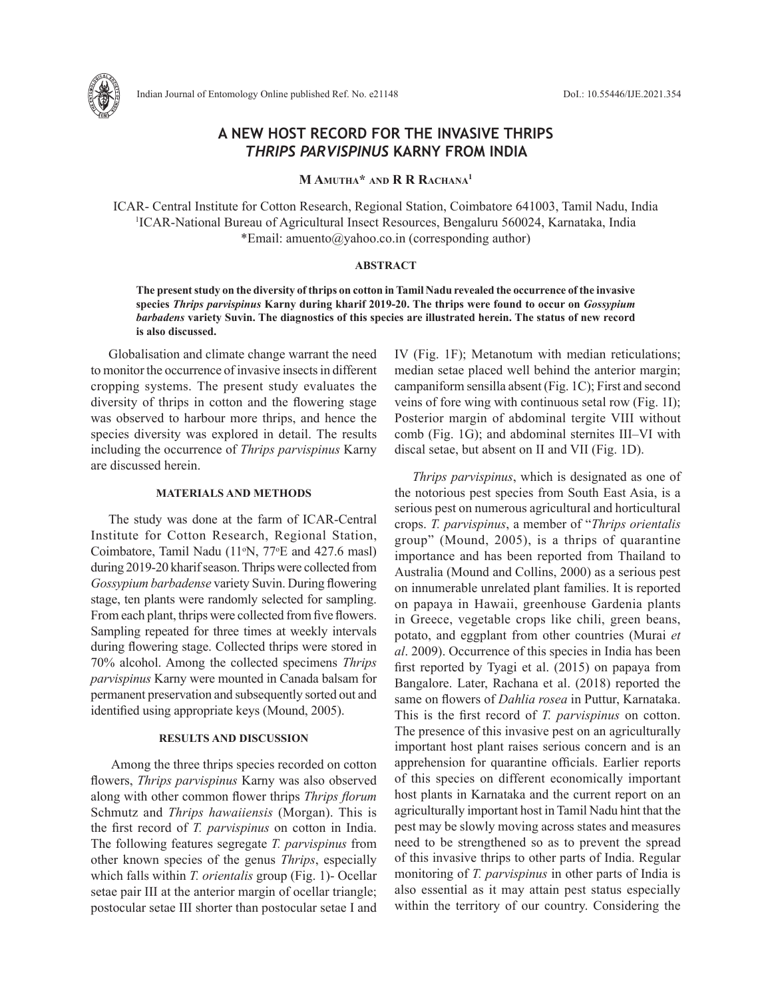

# **A NEW HOST RECORD FOR THE INVASIVE THRIPS**  *THRIPS PARVISPINUS* **KARNY FROM INDIA**

**M Amutha\* and R R Rachana1**

ICAR- Central Institute for Cotton Research, Regional Station, Coimbatore 641003, Tamil Nadu, India 1 ICAR-National Bureau of Agricultural Insect Resources, Bengaluru 560024, Karnataka, India \*Email: amuento@yahoo.co.in (corresponding author)

### **ABSTRACT**

**The present study on the diversity of thrips on cotton in Tamil Nadu revealed the occurrence of the invasive species** *Thrips parvispinus* **Karny during kharif 2019-20. The thrips were found to occur on** *Gossypium barbadens* **variety Suvin. The diagnostics of this species are illustrated herein. The status of new record is also discussed.**

Globalisation and climate change warrant the need to monitor the occurrence of invasive insects in different cropping systems. The present study evaluates the diversity of thrips in cotton and the flowering stage was observed to harbour more thrips, and hence the species diversity was explored in detail. The results including the occurrence of *Thrips parvispinus* Karny are discussed herein.

## **MATERIALS AND METHODS**

The study was done at the farm of ICAR-Central Institute for Cotton Research, Regional Station, Coimbatore, Tamil Nadu (11<sup>o</sup>N, 77<sup>o</sup>E and 427.6 masl) during 2019-20 kharif season. Thrips were collected from *Gossypium barbadense* variety Suvin. During flowering stage, ten plants were randomly selected for sampling. From each plant, thrips were collected from five flowers. Sampling repeated for three times at weekly intervals during flowering stage. Collected thrips were stored in 70% alcohol. Among the collected specimens *Thrips parvispinus* Karny were mounted in Canada balsam for permanent preservation and subsequently sorted out and identified using appropriate keys (Mound, 2005).

## **RESULTS AND DISCUSSION**

 Among the three thrips species recorded on cotton flowers, *Thrips parvispinus* Karny was also observed along with other common flower thrips *Thrips florum* Schmutz and *Thrips hawaiiensis* (Morgan). This is the first record of *T. parvispinus* on cotton in India. The following features segregate *T. parvispinus* from other known species of the genus *Thrips*, especially which falls within *T. orientalis* group (Fig. 1)- Ocellar setae pair III at the anterior margin of ocellar triangle; postocular setae III shorter than postocular setae I and IV (Fig. 1F); Metanotum with median reticulations; median setae placed well behind the anterior margin; campaniform sensilla absent (Fig. 1C); First and second veins of fore wing with continuous setal row (Fig. 1I); Posterior margin of abdominal tergite VIII without comb (Fig. 1G); and abdominal sternites III–VI with discal setae, but absent on II and VII (Fig. 1D).

*Thrips parvispinus*, which is designated as one of the notorious pest species from South East Asia, is a serious pest on numerous agricultural and horticultural crops. *T. parvispinus*, a member of "*Thrips orientalis* group" (Mound, 2005), is a thrips of quarantine importance and has been reported from Thailand to Australia (Mound and Collins, 2000) as a serious pest on innumerable unrelated plant families. It is reported on papaya in Hawaii, greenhouse Gardenia plants in Greece, vegetable crops like chili, green beans, potato, and eggplant from other countries (Murai *et al*. 2009). Occurrence of this species in India has been first reported by Tyagi et al. (2015) on papaya from Bangalore. Later, Rachana et al. (2018) reported the same on flowers of *Dahlia rosea* in Puttur, Karnataka. This is the first record of *T. parvispinus* on cotton. The presence of this invasive pest on an agriculturally important host plant raises serious concern and is an apprehension for quarantine officials. Earlier reports of this species on different economically important host plants in Karnataka and the current report on an agriculturally important host in Tamil Nadu hint that the pest may be slowly moving across states and measures need to be strengthened so as to prevent the spread of this invasive thrips to other parts of India. Regular monitoring of *T. parvispinus* in other parts of India is also essential as it may attain pest status especially within the territory of our country. Considering the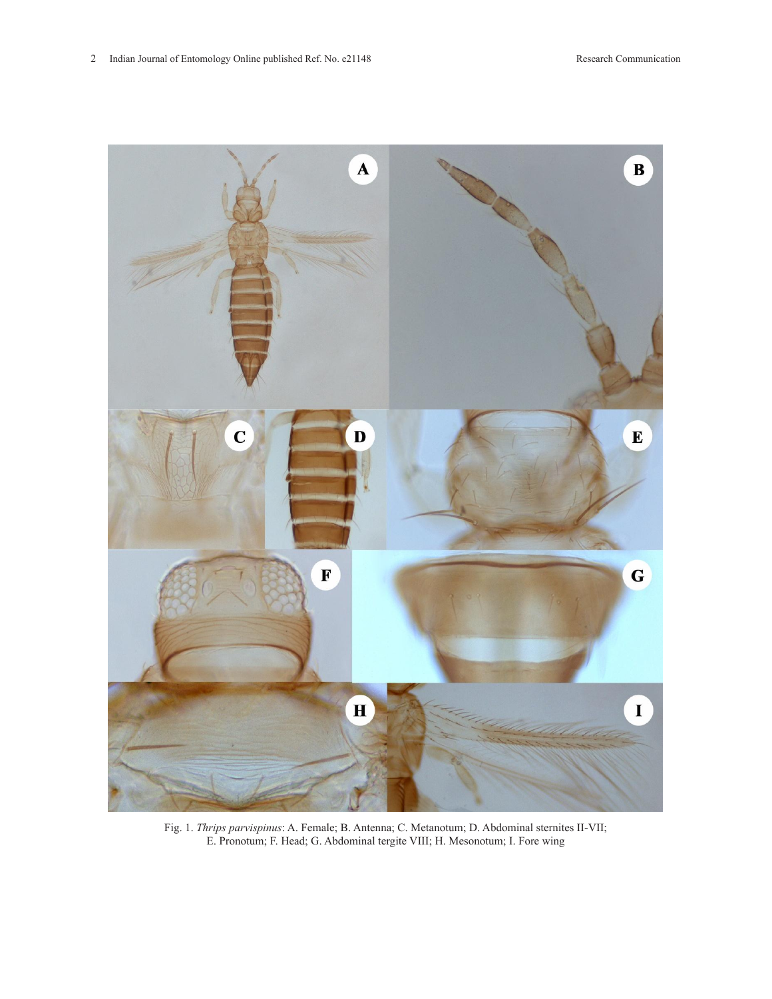

Fig. 1. *Thrips parvispinus*: A. Female; B. Antenna; C. Metanotum; D. Abdominal sternites II-VII; E. Pronotum; F. Head; G. Abdominal tergite VIII; H. Mesonotum; I. Fore wing